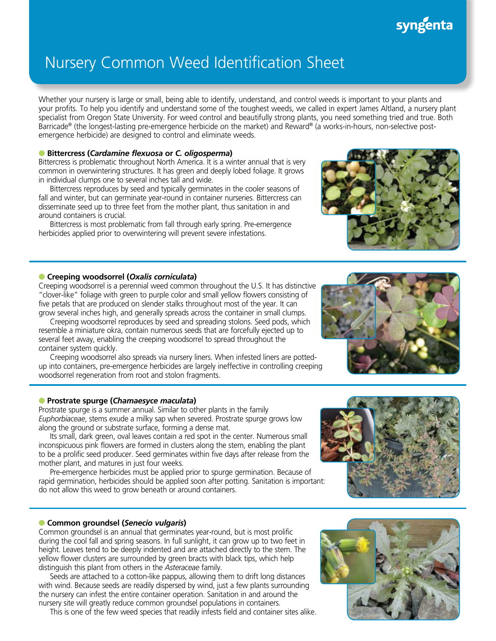# syngenta

# Nursery Common Weed Identification Sheet

Whether your nursery is large or small, being able to identify, understand, and control weeds is important to your plants and your profits. To help you identify and understand some of the toughest weeds, we called in expert James Altland, a nursery plant specialist from Oregon State University. For weed control and beautifully strong plants, you need something tried and true. Both Barricade® (the longest-lasting pre-emergence herbicide on the market) and Reward® (a works-in-hours, non-selective postemergence herbicide) are designed to control and eliminate weeds.

### l **Bittercress (***Cardamine flexuosa* **or** *C. oligosperma***)**

Bittercress is problematic throughout North America. It is a winter annual that is very common in overwintering structures. It has green and deeply lobed foliage. It grows in individual clumps one to several inches tall and wide.

Bittercress reproduces by seed and typically germinates in the cooler seasons of fall and winter, but can germinate year-round in container nurseries. Bittercress can disseminate seed up to three feet from the mother plant, thus sanitation in and around containers is crucial.

Bittercress is most problematic from fall through early spring. Pre-emergence herbicides applied prior to overwintering will prevent severe infestations.

## l **Creeping woodsorrel (***Oxalis corniculata***)**

Creeping woodsorrel is a perennial weed common throughout the U.S. It has distinctive "clover-like" foliage with green to purple color and small yellow flowers consisting of five petals that are produced on slender stalks throughout most of the year. It can grow several inches high, and generally spreads across the container in small clumps.

Creeping woodsorrel reproduces by seed and spreading stolons. Seed pods, which resemble a miniature okra, contain numerous seeds that are forcefully ejected up to several feet away, enabling the creeping woodsorrel to spread throughout the container system quickly.

Creeping woodsorrel also spreads via nursery liners. When infested liners are pottedup into containers, pre-emergence herbicides are largely ineffective in controlling creeping woodsorrel regeneration from root and stolon fragments.

### l **Prostrate spurge (***Chamaesyce maculata***)**

Prostrate spurge is a summer annual. Similar to other plants in the family *Euphorbiaceae*, stems exude a milky sap when severed. Prostrate spurge grows low along the ground or substrate surface, forming a dense mat.

Its small, dark green, oval leaves contain a red spot in the center. Numerous small inconspicuous pink flowers are formed in clusters along the stem, enabling the plant to be a prolific seed producer. Seed germinates within five days after release from the mother plant, and matures in just four weeks.

Pre-emergence herbicides must be applied prior to spurge germination. Because of rapid germination, herbicides should be applied soon after potting. Sanitation is important: do not allow this weed to grow beneath or around containers.

### l **Common groundsel (***Senecio vulgaris***)**

Common groundsel is an annual that germinates year-round, but is most prolific during the cool fall and spring seasons. In full sunlight, it can grow up to two feet in height. Leaves tend to be deeply indented and are attached directly to the stem. The yellow flower clusters are surrounded by green bracts with black tips, which help distinguish this plant from others in the *Asteraceae* family.

Seeds are attached to a cotton-like pappus, allowing them to drift long distances with wind. Because seeds are readily dispersed by wind, just a few plants surrounding the nursery can infest the entire container operation. Sanitation in and around the nursery site will greatly reduce common groundsel populations in containers.

This is one of the few weed species that readily infests field and container sites alike.